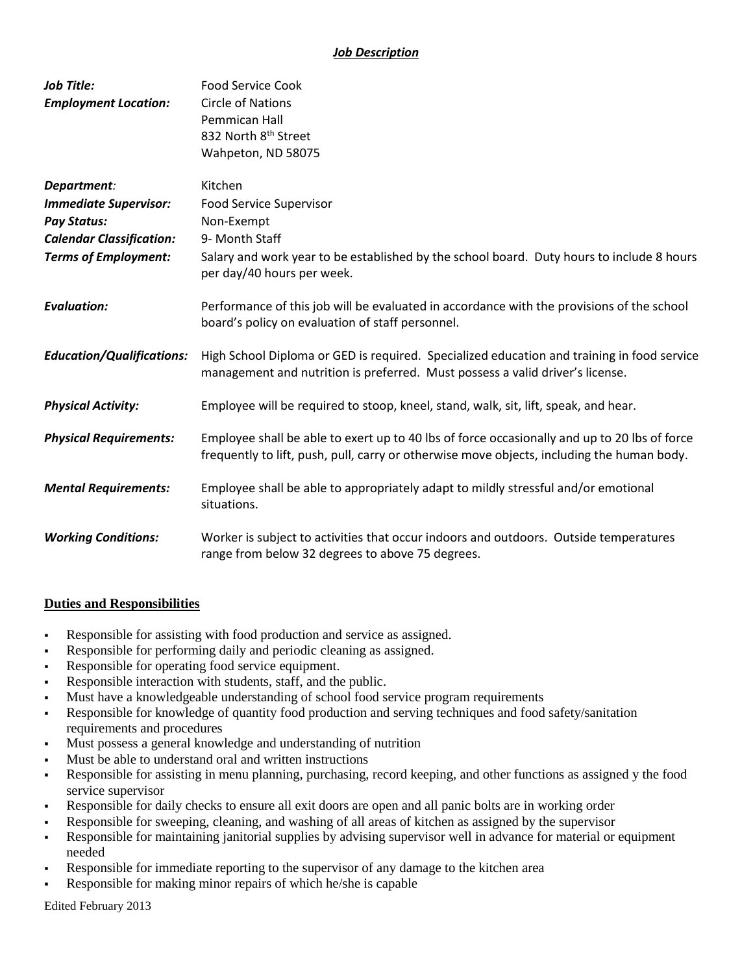## *Job Description*

| Job Title:<br><b>Employment Location:</b>                                                                                           | <b>Food Service Cook</b><br><b>Circle of Nations</b><br>Pemmican Hall<br>832 North 8 <sup>th</sup> Street<br>Wahpeton, ND 58075                                                                      |
|-------------------------------------------------------------------------------------------------------------------------------------|------------------------------------------------------------------------------------------------------------------------------------------------------------------------------------------------------|
| Department:<br><b>Immediate Supervisor:</b><br><b>Pay Status:</b><br><b>Calendar Classification:</b><br><b>Terms of Employment:</b> | Kitchen<br><b>Food Service Supervisor</b><br>Non-Exempt<br>9- Month Staff<br>Salary and work year to be established by the school board. Duty hours to include 8 hours<br>per day/40 hours per week. |
| <b>Evaluation:</b>                                                                                                                  | Performance of this job will be evaluated in accordance with the provisions of the school<br>board's policy on evaluation of staff personnel.                                                        |
| <b>Education/Qualifications:</b>                                                                                                    | High School Diploma or GED is required. Specialized education and training in food service<br>management and nutrition is preferred. Must possess a valid driver's license.                          |
| <b>Physical Activity:</b>                                                                                                           | Employee will be required to stoop, kneel, stand, walk, sit, lift, speak, and hear.                                                                                                                  |
| <b>Physical Requirements:</b>                                                                                                       | Employee shall be able to exert up to 40 lbs of force occasionally and up to 20 lbs of force<br>frequently to lift, push, pull, carry or otherwise move objects, including the human body.           |
| <b>Mental Requirements:</b>                                                                                                         | Employee shall be able to appropriately adapt to mildly stressful and/or emotional<br>situations.                                                                                                    |
| <b>Working Conditions:</b>                                                                                                          | Worker is subject to activities that occur indoors and outdoors. Outside temperatures<br>range from below 32 degrees to above 75 degrees.                                                            |

## **Duties and Responsibilities**

- Responsible for assisting with food production and service as assigned.
- Responsible for performing daily and periodic cleaning as assigned.
- Responsible for operating food service equipment.
- Responsible interaction with students, staff, and the public.
- Must have a knowledgeable understanding of school food service program requirements
- Responsible for knowledge of quantity food production and serving techniques and food safety/sanitation requirements and procedures
- Must possess a general knowledge and understanding of nutrition
- Must be able to understand oral and written instructions
- Responsible for assisting in menu planning, purchasing, record keeping, and other functions as assigned y the food service supervisor
- Responsible for daily checks to ensure all exit doors are open and all panic bolts are in working order
- Responsible for sweeping, cleaning, and washing of all areas of kitchen as assigned by the supervisor
- Responsible for maintaining janitorial supplies by advising supervisor well in advance for material or equipment needed
- Responsible for immediate reporting to the supervisor of any damage to the kitchen area
- Responsible for making minor repairs of which he/she is capable

Edited February 2013